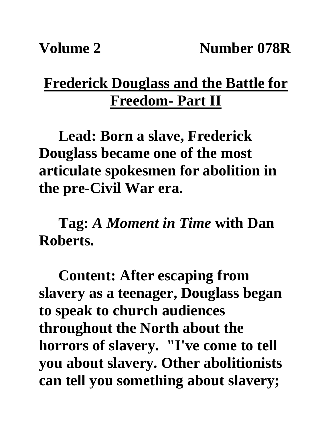## **Frederick Douglass and the Battle for Freedom- Part II**

**Lead: Born a slave, Frederick Douglass became one of the most articulate spokesmen for abolition in the pre-Civil War era.**

**Tag:** *A Moment in Time* **with Dan Roberts.**

**Content: After escaping from slavery as a teenager, Douglass began to speak to church audiences throughout the North about the horrors of slavery. "I've come to tell you about slavery. Other abolitionists can tell you something about slavery;**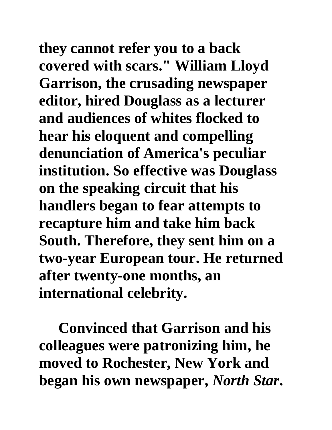**they cannot refer you to a back covered with scars." William Lloyd Garrison, the crusading newspaper editor, hired Douglass as a lecturer and audiences of whites flocked to hear his eloquent and compelling denunciation of America's peculiar institution. So effective was Douglass on the speaking circuit that his handlers began to fear attempts to recapture him and take him back South. Therefore, they sent him on a two-year European tour. He returned after twenty-one months, an international celebrity.**

**Convinced that Garrison and his colleagues were patronizing him, he moved to Rochester, New York and began his own newspaper,** *North Star***.**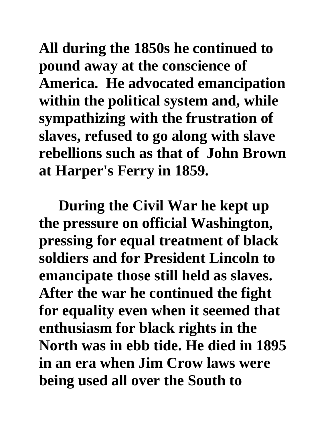**All during the 1850s he continued to pound away at the conscience of America. He advocated emancipation within the political system and, while sympathizing with the frustration of slaves, refused to go along with slave rebellions such as that of John Brown at Harper's Ferry in 1859.** 

**During the Civil War he kept up the pressure on official Washington, pressing for equal treatment of black soldiers and for President Lincoln to emancipate those still held as slaves. After the war he continued the fight for equality even when it seemed that enthusiasm for black rights in the North was in ebb tide. He died in 1895 in an era when Jim Crow laws were being used all over the South to**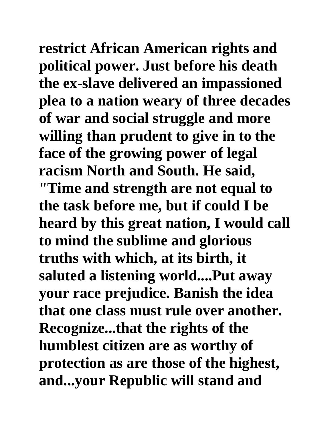**restrict African American rights and political power. Just before his death the ex-slave delivered an impassioned plea to a nation weary of three decades of war and social struggle and more willing than prudent to give in to the face of the growing power of legal racism North and South. He said,** 

**"Time and strength are not equal to the task before me, but if could I be heard by this great nation, I would call to mind the sublime and glorious truths with which, at its birth, it saluted a listening world....Put away your race prejudice. Banish the idea that one class must rule over another. Recognize...that the rights of the humblest citizen are as worthy of protection as are those of the highest, and...your Republic will stand and**